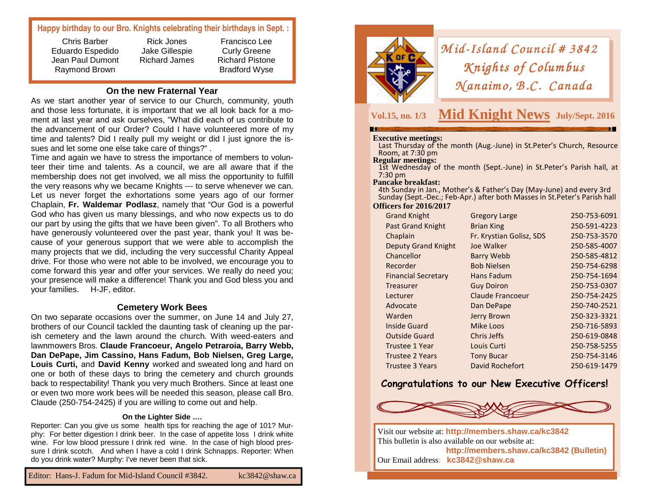### **Happy birthday to our Bro. Knights celebrating their birthdays in Sept. :**

Chris Barber Eduardo Espedido Jean Paul Dumont Raymond Brown

Rick Jones Jake Gillespie Richard James

Francisco Lee Curly Greene Richard Pistone Bradford Wyse

#### **On the new Fraternal Year**

 As we start another year of service to our Church, community, youth and those less fortunate, it is important that we all look back for a moment at last year and ask ourselves, "What did each of us contribute to the advancement of our Order? Could I have volunteered more of my time and talents? Did I really pull my weight or did I just ignore the issues and let some one else take care of things?" .

 Time and again we have to stress the importance of members to volunteer their time and talents. As a council, we are all aware that if the membership does not get involved, we all miss the opportunity to fulfill the very reasons why we became Knights --- to serve whenever we can. Let us never forget the exhortations some years ago of our former Chaplain, **Fr. Waldemar Podlasz**, namely that "Our God is a powerful God who has given us many blessings, and who now expects us to do our part by using the gifts that we have been given". To all Brothers who have generously volunteered over the past year, thank you! It was because of your generous support that we were able to accomplish the many projects that we did, including the very successful Charity Appeal drive. For those who were not able to be involved, we encourage you to come forward this year and offer your services. We really do need you; your presence will make a difference! Thank you and God bless you and your families. H-JF, editor.

#### **Cemetery Work Bees**

 On two separate occasions over the summer, on June 14 and July 27, brothers of our Council tackled the daunting task of cleaning up the parish cemetery and the lawn around the church. With weed-eaters and lawnmowers Bros. **Claude Francoeur, Angelo Petraroia, Barry Webb, Dan DePape, Jim Cassino, Hans Fadum, Bob Nielsen, Greg Large, Louis Curti,** and **David Kenny** worked and sweated long and hard on one or both of these days to bring the cemetery and church grounds back to respectability! Thank you very much Brothers. Since at least one or even two more work bees will be needed this season, please call Bro. Claude (250-754-2425) if you are willing to come out and help.

#### **On the Lighter Side ….**

 Reporter: Can you give us some health tips for reaching the age of 101? Murphy: For better digestion I drink beer. In the case of appetite loss I drink white wine. For low blood pressure I drink red wine. In the case of high blood pressure I drink scotch. And when I have a cold I drink Schnapps. Reporter: When do you drink water? Murphy: I've never been that sick.



## *Mid-Island Council # 3842*<br>*Knights of Columbus Knights of Columbus<br>(anaimo, B.C. Canadı <sup>N</sup> anaim o, B .C. Canada No, Canada*

# **Vol.15, no. 1/3 Mid Knight News July/Sept. 2016**

**Executive meetings:** Last Thursday of the month (Aug.-June) in St.Peter's Church, Resource Room, at 7:30 pm<br>**Regular meetings:** 

1st Wednesday of the month (Sept.-June) in St.Peter's Parish hall, at 7:30 pm

#### **Pancake breakfast:**

 4th Sunday in Jan., Mother's & Father's Day (May-June) and every 3rd Sunday (Sept.-Dec.; Feb-Apr.) after both Masses in St.Peter's Parish hall

#### **Officers for 2016/2017**

| <b>Grand Knight</b>        | <b>Gregory Large</b>     | 250-753-6091 |
|----------------------------|--------------------------|--------------|
| <b>Past Grand Knight</b>   | <b>Brian King</b>        | 250-591-4223 |
| Chaplain                   | Fr. Krystian Golisz, SDS | 250-753-3570 |
| <b>Deputy Grand Knight</b> | Joe Walker               | 250-585-4007 |
| Chancellor                 | <b>Barry Webb</b>        | 250-585-4812 |
| Recorder                   | <b>Bob Nielsen</b>       | 250-754-6298 |
| <b>Financial Secretary</b> | <b>Hans Fadum</b>        | 250-754-1694 |
| Treasurer                  | <b>Guy Doiron</b>        | 250-753-0307 |
| Lecturer                   | Claude Francoeur         | 250-754-2425 |
| Advocate                   | Dan DePape               | 250-740-2521 |
| Warden                     | Jerry Brown              | 250-323-3321 |
| <b>Inside Guard</b>        | Mike Loos                | 250-716-5893 |
| <b>Outside Guard</b>       | Chris Jeffs              | 250-619-0848 |
| Trustee 1 Year             | Louis Curti              | 250-758-5255 |
| <b>Trustee 2 Years</b>     | <b>Tony Bucar</b>        | 250-754-3146 |
| <b>Trustee 3 Years</b>     | David Rochefort          | 250-619-1479 |
|                            |                          |              |

## **Congratulations to our New Executive Officers!**



Visit our website at: **http://members.shaw.ca/kc3842** This bulletin is also available on our website at: **http://members.shaw.ca/kc3842 (Bulletin)** Our Email address: **kc3842@shaw.ca**